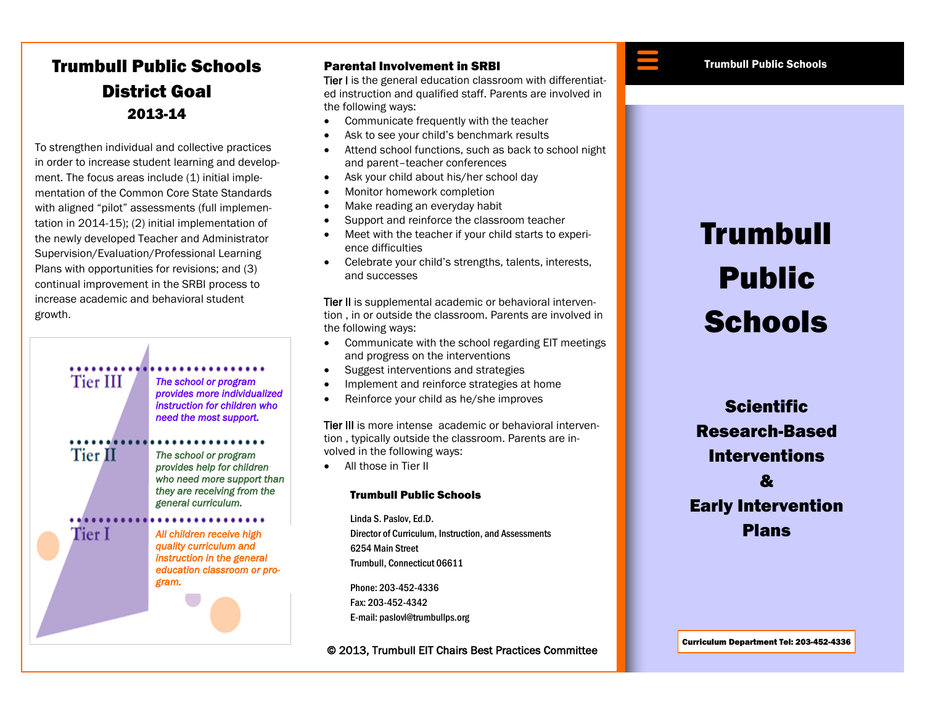## Trumbull Public Schools District Goal 2013-14

To strengthen individual and collective practices in order to increase student learning and development. The focus areas include  $(1)$  initial implementation of the Common Core State Standards with aligned "pilot" assessments (full implementation in 2014-15); (2) initial implementation of the newly developed Teacher and Administrator Supervision/Evaluation/Professional Learning Plans with opportunities for revisions; and (3) continual improvement in the SRBI process to increase academic and behavioral student growth.



Tier II

Tier I

*The school or program provides more individualized instruction for children who need the most support.* 

*The school or program provides help for children who need more support than they are receiving from the general curriculum.* 

*All children receive high quality curriculum and instruction in the general education classroom or program.* 

### Parental Involvement in SRBI

Tier I is the general education classroom with differentiated instruction and qualified staff. Parents are involved in the following ways:

- Communicate frequently with the teacher
- Ask to see your child's benchmark results
- Attend school functions, such as back to school night and parent–teacher conferences
- Ask your child about his/her school day
- Monitor homework completion
- Make reading an everyday habit
- Support and reinforce the classroom teacher
- Meet with the teacher if your child starts to experience difficulties
- Celebrate your child's strengths, talents, interests, and successes

Tier II is supplemental academic or behavioral intervention , in or outside the classroom. Parents are involved in the following ways:

- Communicate with the school regarding EIT meetings and progress on the interventions
- Suggest interventions and strategies
- Implement and reinforce strategies at home
- Reinforce your child as he/she improves

Tier III is more intense academic or behavioral intervention , typically outside the classroom. Parents are involved in the following ways:

All those in Tier II

#### Trumbull Public Schools

Linda S. Paslov, Ed.D. Director of Curriculum, Instruction, and Assessments 6254 Main Street Trumbull, Connecticut 06611

Phone: 203-452-4336 Fax: 203-452-4342 E-mail: paslovl@trumbullps.org

© 2013, Trumbull EIT Chairs Best Practices Committee



# Trumbull Public **Schools**

**Scientific** Research-Based Interventions  $\boldsymbol{\mathcal{S}}$ Early Intervention Plans

Curriculum Department Tel: 203-452-4336